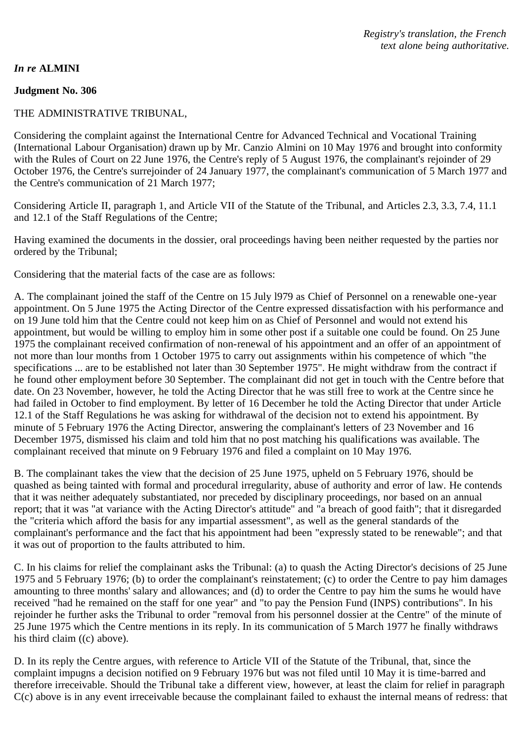## THE ADMINISTRATIVE TRIBUNAL,

Considering the complaint against the International Centre for Advanced Technical and Vocational Training (International Labour Organisation) drawn up by Mr. Canzio Almini on 10 May 1976 and brought into conformity with the Rules of Court on 22 June 1976, the Centre's reply of 5 August 1976, the complainant's rejoinder of 29 October 1976, the Centre's surrejoinder of 24 January 1977, the complainant's communication of 5 March 1977 and the Centre's communication of 21 March 1977;

Considering Article II, paragraph 1, and Article VII of the Statute of the Tribunal, and Articles 2.3, 3.3, 7.4, 11.1 and 12.1 of the Staff Regulations of the Centre;

Having examined the documents in the dossier, oral proceedings having been neither requested by the parties nor ordered by the Tribunal;

Considering that the material facts of the case are as follows:

A. The complainant joined the staff of the Centre on 15 July l979 as Chief of Personnel on a renewable one-year appointment. On 5 June 1975 the Acting Director of the Centre expressed dissatisfaction with his performance and on 19 June told him that the Centre could not keep him on as Chief of Personnel and would not extend his appointment, but would be willing to employ him in some other post if a suitable one could be found. On 25 June 1975 the complainant received confirmation of non-renewal of his appointment and an offer of an appointment of not more than lour months from 1 October 1975 to carry out assignments within his competence of which "the specifications ... are to be established not later than 30 September 1975". He might withdraw from the contract if he found other employment before 30 September. The complainant did not get in touch with the Centre before that date. On 23 November, however, he told the Acting Director that he was still free to work at the Centre since he had failed in October to find employment. By letter of 16 December he told the Acting Director that under Article 12.1 of the Staff Regulations he was asking for withdrawal of the decision not to extend his appointment. By minute of 5 February 1976 the Acting Director, answering the complainant's letters of 23 November and 16 December 1975, dismissed his claim and told him that no post matching his qualifications was available. The complainant received that minute on 9 February 1976 and filed a complaint on 10 May 1976.

B. The complainant takes the view that the decision of 25 June 1975, upheld on 5 February 1976, should be quashed as being tainted with formal and procedural irregularity, abuse of authority and error of law. He contends that it was neither adequately substantiated, nor preceded by disciplinary proceedings, nor based on an annual report; that it was "at variance with the Acting Director's attitude" and "a breach of good faith"; that it disregarded the "criteria which afford the basis for any impartial assessment", as well as the general standards of the complainant's performance and the fact that his appointment had been "expressly stated to be renewable"; and that it was out of proportion to the faults attributed to him.

C. In his claims for relief the complainant asks the Tribunal: (a) to quash the Acting Director's decisions of 25 June 1975 and 5 February 1976; (b) to order the complainant's reinstatement; (c) to order the Centre to pay him damages amounting to three months' salary and allowances; and (d) to order the Centre to pay him the sums he would have received "had he remained on the staff for one year" and "to pay the Pension Fund (INPS) contributions". In his rejoinder he further asks the Tribunal to order "removal from his personnel dossier at the Centre" of the minute of 25 June 1975 which the Centre mentions in its reply. In its communication of 5 March 1977 he finally withdraws his third claim ((c) above).

D. In its reply the Centre argues, with reference to Article VII of the Statute of the Tribunal, that, since the complaint impugns a decision notified on 9 February 1976 but was not filed until 10 May it is time-barred and therefore irreceivable. Should the Tribunal take a different view, however, at least the claim for relief in paragraph C(c) above is in any event irreceivable because the complainant failed to exhaust the internal means of redress: that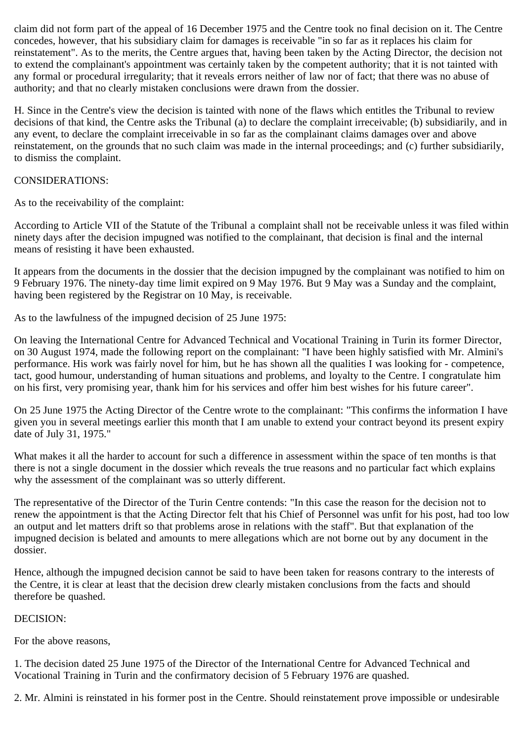claim did not form part of the appeal of 16 December 1975 and the Centre took no final decision on it. The Centre concedes, however, that his subsidiary claim for damages is receivable "in so far as it replaces his claim for reinstatement". As to the merits, the Centre argues that, having been taken by the Acting Director, the decision not to extend the complainant's appointment was certainly taken by the competent authority; that it is not tainted with any formal or procedural irregularity; that it reveals errors neither of law nor of fact; that there was no abuse of authority; and that no clearly mistaken conclusions were drawn from the dossier.

H. Since in the Centre's view the decision is tainted with none of the flaws which entitles the Tribunal to review decisions of that kind, the Centre asks the Tribunal (a) to declare the complaint irreceivable; (b) subsidiarily, and in any event, to declare the complaint irreceivable in so far as the complainant claims damages over and above reinstatement, on the grounds that no such claim was made in the internal proceedings; and (c) further subsidiarily, to dismiss the complaint.

## CONSIDERATIONS:

As to the receivability of the complaint:

According to Article VII of the Statute of the Tribunal a complaint shall not be receivable unless it was filed within ninety days after the decision impugned was notified to the complainant, that decision is final and the internal means of resisting it have been exhausted.

It appears from the documents in the dossier that the decision impugned by the complainant was notified to him on 9 February 1976. The ninety-day time limit expired on 9 May 1976. But 9 May was a Sunday and the complaint, having been registered by the Registrar on 10 May, is receivable.

As to the lawfulness of the impugned decision of 25 June 1975:

On leaving the International Centre for Advanced Technical and Vocational Training in Turin its former Director, on 30 August 1974, made the following report on the complainant: "I have been highly satisfied with Mr. Almini's performance. His work was fairly novel for him, but he has shown all the qualities I was looking for - competence, tact, good humour, understanding of human situations and problems, and loyalty to the Centre. I congratulate him on his first, very promising year, thank him for his services and offer him best wishes for his future career".

On 25 June 1975 the Acting Director of the Centre wrote to the complainant: "This confirms the information I have given you in several meetings earlier this month that I am unable to extend your contract beyond its present expiry date of July 31, 1975."

What makes it all the harder to account for such a difference in assessment within the space of ten months is that there is not a single document in the dossier which reveals the true reasons and no particular fact which explains why the assessment of the complainant was so utterly different.

The representative of the Director of the Turin Centre contends: "In this case the reason for the decision not to renew the appointment is that the Acting Director felt that his Chief of Personnel was unfit for his post, had too low an output and let matters drift so that problems arose in relations with the staff". But that explanation of the impugned decision is belated and amounts to mere allegations which are not borne out by any document in the dossier.

Hence, although the impugned decision cannot be said to have been taken for reasons contrary to the interests of the Centre, it is clear at least that the decision drew clearly mistaken conclusions from the facts and should therefore be quashed.

## DECISION:

For the above reasons,

1. The decision dated 25 June 1975 of the Director of the International Centre for Advanced Technical and Vocational Training in Turin and the confirmatory decision of 5 February 1976 are quashed.

2. Mr. Almini is reinstated in his former post in the Centre. Should reinstatement prove impossible or undesirable